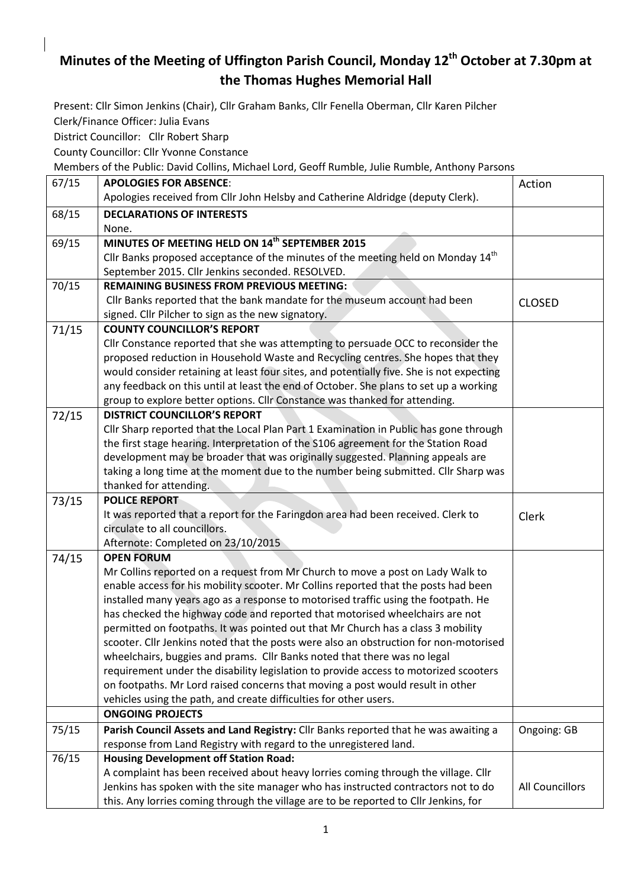## **Minutes of the Meeting of Uffington Parish Council, Monday 12th October at 7.30pm at the Thomas Hughes Memorial Hall**

Present: Cllr Simon Jenkins (Chair), Cllr Graham Banks, Cllr Fenella Oberman, Cllr Karen Pilcher Clerk/Finance Officer: Julia Evans

District Councillor: Cllr Robert Sharp

County Councillor: Cllr Yvonne Constance

Members of the Public: David Collins, Michael Lord, Geoff Rumble, Julie Rumble, Anthony Parsons

| 67/15 | <b>APOLOGIES FOR ABSENCE:</b>                                                                | Action                 |
|-------|----------------------------------------------------------------------------------------------|------------------------|
|       | Apologies received from Cllr John Helsby and Catherine Aldridge (deputy Clerk).              |                        |
| 68/15 | <b>DECLARATIONS OF INTERESTS</b>                                                             |                        |
|       | None.                                                                                        |                        |
| 69/15 | MINUTES OF MEETING HELD ON 14 <sup>th</sup> SEPTEMBER 2015                                   |                        |
|       | Cllr Banks proposed acceptance of the minutes of the meeting held on Monday 14 <sup>th</sup> |                        |
|       | September 2015. Cllr Jenkins seconded. RESOLVED.                                             |                        |
| 70/15 | <b>REMAINING BUSINESS FROM PREVIOUS MEETING:</b>                                             |                        |
|       | Cllr Banks reported that the bank mandate for the museum account had been                    | <b>CLOSED</b>          |
|       | signed. Cllr Pilcher to sign as the new signatory.                                           |                        |
| 71/15 | <b>COUNTY COUNCILLOR'S REPORT</b>                                                            |                        |
|       | Cllr Constance reported that she was attempting to persuade OCC to reconsider the            |                        |
|       | proposed reduction in Household Waste and Recycling centres. She hopes that they             |                        |
|       | would consider retaining at least four sites, and potentially five. She is not expecting     |                        |
|       | any feedback on this until at least the end of October. She plans to set up a working        |                        |
|       | group to explore better options. Cllr Constance was thanked for attending.                   |                        |
| 72/15 | <b>DISTRICT COUNCILLOR'S REPORT</b>                                                          |                        |
|       | Cllr Sharp reported that the Local Plan Part 1 Examination in Public has gone through        |                        |
|       | the first stage hearing. Interpretation of the S106 agreement for the Station Road           |                        |
|       | development may be broader that was originally suggested. Planning appeals are               |                        |
|       | taking a long time at the moment due to the number being submitted. Cllr Sharp was           |                        |
|       | thanked for attending.                                                                       |                        |
| 73/15 | <b>POLICE REPORT</b>                                                                         |                        |
|       |                                                                                              |                        |
|       | It was reported that a report for the Faringdon area had been received. Clerk to             | Clerk                  |
|       | circulate to all councillors.                                                                |                        |
|       | Afternote: Completed on 23/10/2015                                                           |                        |
| 74/15 | <b>OPEN FORUM</b>                                                                            |                        |
|       | Mr Collins reported on a request from Mr Church to move a post on Lady Walk to               |                        |
|       | enable access for his mobility scooter. Mr Collins reported that the posts had been          |                        |
|       | installed many years ago as a response to motorised traffic using the footpath. He           |                        |
|       | has checked the highway code and reported that motorised wheelchairs are not                 |                        |
|       | permitted on footpaths. It was pointed out that Mr Church has a class 3 mobility             |                        |
|       | scooter. Cllr Jenkins noted that the posts were also an obstruction for non-motorised        |                        |
|       | wheelchairs, buggies and prams. Cllr Banks noted that there was no legal                     |                        |
|       | requirement under the disability legislation to provide access to motorized scooters         |                        |
|       | on footpaths. Mr Lord raised concerns that moving a post would result in other               |                        |
|       | vehicles using the path, and create difficulties for other users.<br><b>ONGOING PROJECTS</b> |                        |
|       | Parish Council Assets and Land Registry: Cllr Banks reported that he was awaiting a          |                        |
| 75/15 | response from Land Registry with regard to the unregistered land.                            | Ongoing: GB            |
| 76/15 | <b>Housing Development off Station Road:</b>                                                 |                        |
|       | A complaint has been received about heavy lorries coming through the village. Cllr           |                        |
|       | Jenkins has spoken with the site manager who has instructed contractors not to do            | <b>All Councillors</b> |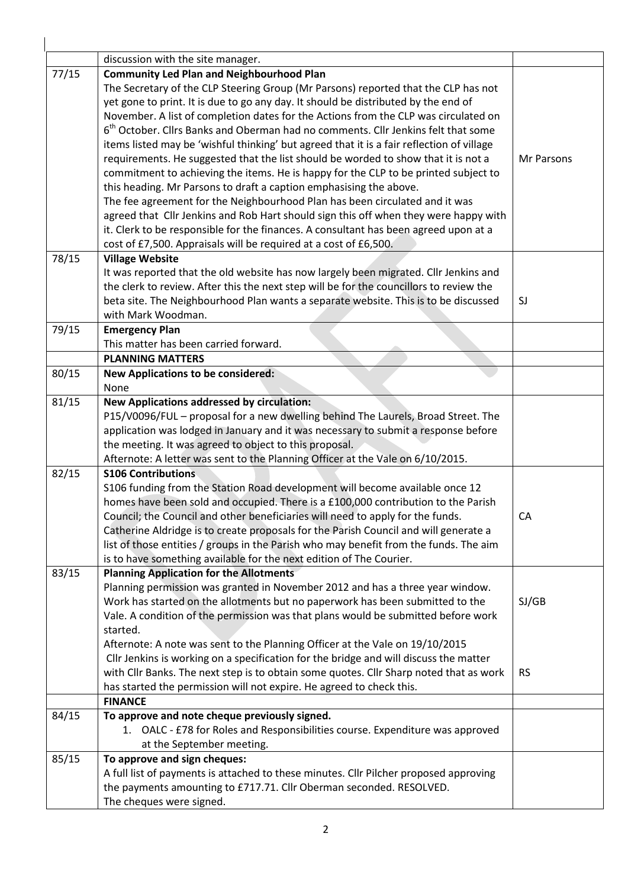|       | discussion with the site manager.                                                             |            |
|-------|-----------------------------------------------------------------------------------------------|------------|
| 77/15 | <b>Community Led Plan and Neighbourhood Plan</b>                                              |            |
|       | The Secretary of the CLP Steering Group (Mr Parsons) reported that the CLP has not            |            |
|       | yet gone to print. It is due to go any day. It should be distributed by the end of            |            |
|       | November. A list of completion dates for the Actions from the CLP was circulated on           |            |
|       | 6 <sup>th</sup> October. Clirs Banks and Oberman had no comments. Clir Jenkins felt that some |            |
|       | items listed may be 'wishful thinking' but agreed that it is a fair reflection of village     |            |
|       | requirements. He suggested that the list should be worded to show that it is not a            | Mr Parsons |
|       | commitment to achieving the items. He is happy for the CLP to be printed subject to           |            |
|       | this heading. Mr Parsons to draft a caption emphasising the above.                            |            |
|       | The fee agreement for the Neighbourhood Plan has been circulated and it was                   |            |
|       | agreed that Cllr Jenkins and Rob Hart should sign this off when they were happy with          |            |
|       | it. Clerk to be responsible for the finances. A consultant has been agreed upon at a          |            |
|       | cost of £7,500. Appraisals will be required at a cost of £6,500.                              |            |
| 78/15 | <b>Village Website</b>                                                                        |            |
|       | It was reported that the old website has now largely been migrated. Cllr Jenkins and          |            |
|       | the clerk to review. After this the next step will be for the councillors to review the       |            |
|       | beta site. The Neighbourhood Plan wants a separate website. This is to be discussed           | SJ         |
|       | with Mark Woodman.                                                                            |            |
| 79/15 | <b>Emergency Plan</b>                                                                         |            |
|       | This matter has been carried forward.                                                         |            |
|       | <b>PLANNING MATTERS</b>                                                                       |            |
| 80/15 | <b>New Applications to be considered:</b><br>None                                             |            |
| 81/15 | <b>New Applications addressed by circulation:</b>                                             |            |
|       | P15/V0096/FUL - proposal for a new dwelling behind The Laurels, Broad Street. The             |            |
|       | application was lodged in January and it was necessary to submit a response before            |            |
|       | the meeting. It was agreed to object to this proposal.                                        |            |
|       | Afternote: A letter was sent to the Planning Officer at the Vale on 6/10/2015.                |            |
| 82/15 | <b>S106 Contributions</b>                                                                     |            |
|       | S106 funding from the Station Road development will become available once 12                  |            |
|       | homes have been sold and occupied. There is a £100,000 contribution to the Parish             |            |
|       | Council; the Council and other beneficiaries will need to apply for the funds.                | CA         |
|       | Catherine Aldridge is to create proposals for the Parish Council and will generate a          |            |
|       | list of those entities / groups in the Parish who may benefit from the funds. The aim         |            |
|       | is to have something available for the next edition of The Courier.                           |            |
| 83/15 | <b>Planning Application for the Allotments</b>                                                |            |
|       | Planning permission was granted in November 2012 and has a three year window.                 |            |
|       | Work has started on the allotments but no paperwork has been submitted to the                 | SJ/GB      |
|       | Vale. A condition of the permission was that plans would be submitted before work             |            |
|       | started.                                                                                      |            |
|       | Afternote: A note was sent to the Planning Officer at the Vale on 19/10/2015                  |            |
|       | Cllr Jenkins is working on a specification for the bridge and will discuss the matter         |            |
|       | with Cllr Banks. The next step is to obtain some quotes. Cllr Sharp noted that as work        | <b>RS</b>  |
|       | has started the permission will not expire. He agreed to check this.                          |            |
|       | <b>FINANCE</b>                                                                                |            |
| 84/15 | To approve and note cheque previously signed.                                                 |            |
|       | 1. OALC - £78 for Roles and Responsibilities course. Expenditure was approved                 |            |
|       | at the September meeting.                                                                     |            |
| 85/15 | To approve and sign cheques:                                                                  |            |
|       | A full list of payments is attached to these minutes. Cllr Pilcher proposed approving         |            |
|       | the payments amounting to £717.71. Cllr Oberman seconded. RESOLVED.                           |            |
|       | The cheques were signed.                                                                      |            |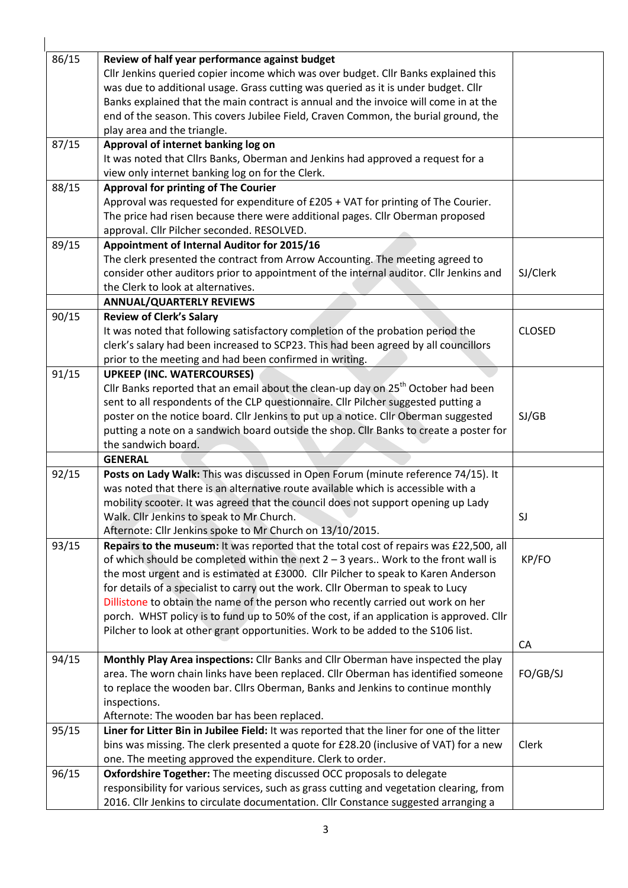| 86/15 | Review of half year performance against budget                                                |               |
|-------|-----------------------------------------------------------------------------------------------|---------------|
|       | Cllr Jenkins queried copier income which was over budget. Cllr Banks explained this           |               |
|       | was due to additional usage. Grass cutting was queried as it is under budget. Cllr            |               |
|       | Banks explained that the main contract is annual and the invoice will come in at the          |               |
|       | end of the season. This covers Jubilee Field, Craven Common, the burial ground, the           |               |
|       | play area and the triangle.                                                                   |               |
| 87/15 | Approval of internet banking log on                                                           |               |
|       | It was noted that Cllrs Banks, Oberman and Jenkins had approved a request for a               |               |
|       | view only internet banking log on for the Clerk.                                              |               |
| 88/15 | <b>Approval for printing of The Courier</b>                                                   |               |
|       | Approval was requested for expenditure of £205 + VAT for printing of The Courier.             |               |
|       | The price had risen because there were additional pages. Cllr Oberman proposed                |               |
|       | approval. Cllr Pilcher seconded. RESOLVED.                                                    |               |
| 89/15 | Appointment of Internal Auditor for 2015/16                                                   |               |
|       | The clerk presented the contract from Arrow Accounting. The meeting agreed to                 |               |
|       | consider other auditors prior to appointment of the internal auditor. Cllr Jenkins and        | SJ/Clerk      |
|       |                                                                                               |               |
|       | the Clerk to look at alternatives.<br><b>ANNUAL/QUARTERLY REVIEWS</b>                         |               |
| 90/15 | <b>Review of Clerk's Salary</b>                                                               |               |
|       | It was noted that following satisfactory completion of the probation period the               | <b>CLOSED</b> |
|       | clerk's salary had been increased to SCP23. This had been agreed by all councillors           |               |
|       |                                                                                               |               |
|       | prior to the meeting and had been confirmed in writing.                                       |               |
| 91/15 | <b>UPKEEP (INC. WATERCOURSES)</b>                                                             |               |
|       | Cllr Banks reported that an email about the clean-up day on 25 <sup>th</sup> October had been |               |
|       | sent to all respondents of the CLP questionnaire. Cllr Pilcher suggested putting a            |               |
|       | poster on the notice board. Cllr Jenkins to put up a notice. Cllr Oberman suggested           | SJ/GB         |
|       | putting a note on a sandwich board outside the shop. Cllr Banks to create a poster for        |               |
|       | the sandwich board.                                                                           |               |
|       | <b>GENERAL</b>                                                                                |               |
| 92/15 | Posts on Lady Walk: This was discussed in Open Forum (minute reference 74/15). It             |               |
|       | was noted that there is an alternative route available which is accessible with a             |               |
|       | mobility scooter. It was agreed that the council does not support opening up Lady             |               |
|       | Walk. Cllr Jenkins to speak to Mr Church.                                                     | SJ            |
|       | Afternote: Cllr Jenkins spoke to Mr Church on 13/10/2015.                                     |               |
| 93/15 | Repairs to the museum: It was reported that the total cost of repairs was £22,500, all        |               |
|       | of which should be completed within the next $2 - 3$ years Work to the front wall is          | KP/FO         |
|       | the most urgent and is estimated at £3000. Cllr Pilcher to speak to Karen Anderson            |               |
|       | for details of a specialist to carry out the work. Cllr Oberman to speak to Lucy              |               |
|       | Dillistone to obtain the name of the person who recently carried out work on her              |               |
|       | porch. WHST policy is to fund up to 50% of the cost, if an application is approved. Cllr      |               |
|       | Pilcher to look at other grant opportunities. Work to be added to the S106 list.              |               |
|       |                                                                                               | CA            |
| 94/15 | Monthly Play Area inspections: Cllr Banks and Cllr Oberman have inspected the play            |               |
|       | area. The worn chain links have been replaced. Cllr Oberman has identified someone            | FO/GB/SJ      |
|       | to replace the wooden bar. Cllrs Oberman, Banks and Jenkins to continue monthly               |               |
|       | inspections.                                                                                  |               |
|       | Afternote: The wooden bar has been replaced.                                                  |               |
| 95/15 | Liner for Litter Bin in Jubilee Field: It was reported that the liner for one of the litter   |               |
|       | bins was missing. The clerk presented a quote for £28.20 (inclusive of VAT) for a new         | Clerk         |
|       | one. The meeting approved the expenditure. Clerk to order.                                    |               |
| 96/15 | Oxfordshire Together: The meeting discussed OCC proposals to delegate                         |               |
|       | responsibility for various services, such as grass cutting and vegetation clearing, from      |               |
|       | 2016. Cllr Jenkins to circulate documentation. Cllr Constance suggested arranging a           |               |